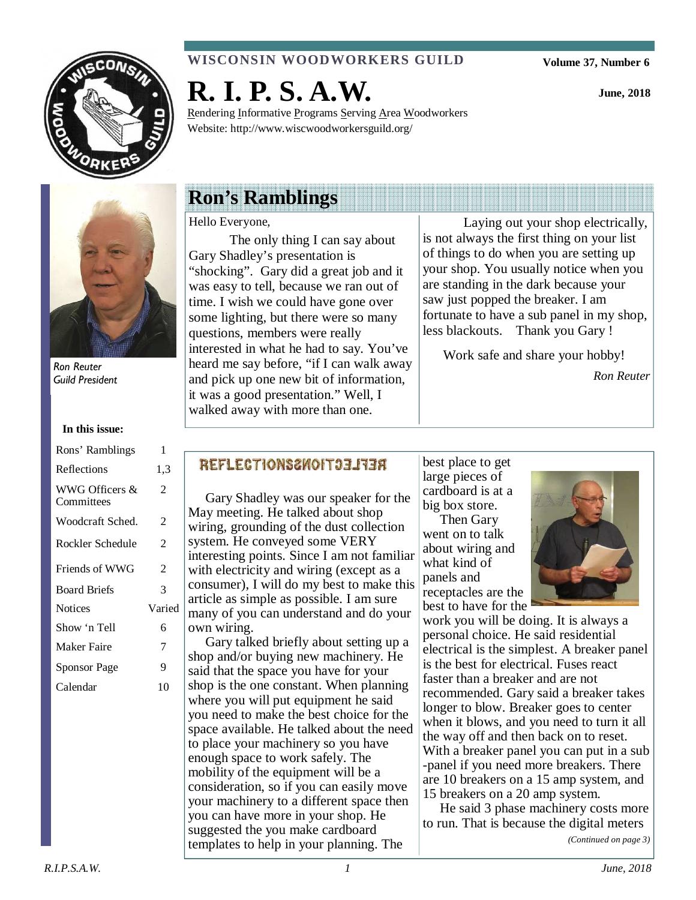

### **WISCONSIN WOODWORKERS GUILD**

**Volume 37, Number 6** 

**June, 2018** 



Ron Reuter Guild President

#### **In this issue:**

| Rons' Ramblings              | 1                        |
|------------------------------|--------------------------|
| Reflections                  | 1,3                      |
| WWG Officers &<br>Committees | 2                        |
| Woodcraft Sched.             | 2                        |
| Rockler Schedule             | $\overline{\mathcal{L}}$ |
| Friends of WWG               | 2                        |
| <b>Board Briefs</b>          | 3                        |
| <b>Notices</b>               | Varied                   |
| Show 'n Tell                 | 6                        |
| Maker Faire                  | 7                        |
| Sponsor Page                 | 9                        |
| Calendar                     | 10                       |
|                              |                          |

# **R. I. P. S. A.W.**

Rendering Informative Programs Serving Area Woodworkers Website: http://www.wiscwoodworkersguild.org/

# **Ron's Ramblings**

#### Hello Everyone,

The only thing I can say about Gary Shadley's presentation is "shocking". Gary did a great job and it was easy to tell, because we ran out of time. I wish we could have gone over some lighting, but there were so many questions, members were really interested in what he had to say. You've heard me say before, "if I can walk away and pick up one new bit of information, it was a good presentation." Well, I walked away with more than one.

 Laying out your shop electrically, is not always the first thing on your list of things to do when you are setting up your shop. You usually notice when you are standing in the dark because your saw just popped the breaker. I am fortunate to have a sub panel in my shop, less blackouts. Thank you Gary !

Work safe and share your hobby!

*Ron Reuter* 

### REFLECTIONS2WOIT33IT3R

 Gary Shadley was our speaker for the May meeting. He talked about shop wiring, grounding of the dust collection system. He conveyed some VERY interesting points. Since I am not familiar with electricity and wiring (except as a consumer), I will do my best to make this article as simple as possible. I am sure many of you can understand and do your own wiring.

 Gary talked briefly about setting up a shop and/or buying new machinery. He said that the space you have for your shop is the one constant. When planning where you will put equipment he said you need to make the best choice for the space available. He talked about the need to place your machinery so you have enough space to work safely. The mobility of the equipment will be a consideration, so if you can easily move your machinery to a different space then you can have more in your shop. He suggested the you make cardboard templates to help in your planning. The

best place to get large pieces of cardboard is at a big box store. Then Gary went on to talk about wiring and what kind of panels and receptacles are the



work you will be doing. It is always a personal choice. He said residential electrical is the simplest. A breaker panel is the best for electrical. Fuses react faster than a breaker and are not recommended. Gary said a breaker takes longer to blow. Breaker goes to center when it blows, and you need to turn it all the way off and then back on to reset. With a breaker panel you can put in a sub -panel if you need more breakers. There are 10 breakers on a 15 amp system, and 15 breakers on a 20 amp system.

 He said 3 phase machinery costs more to run. That is because the digital meters

*(Continued on page 3)*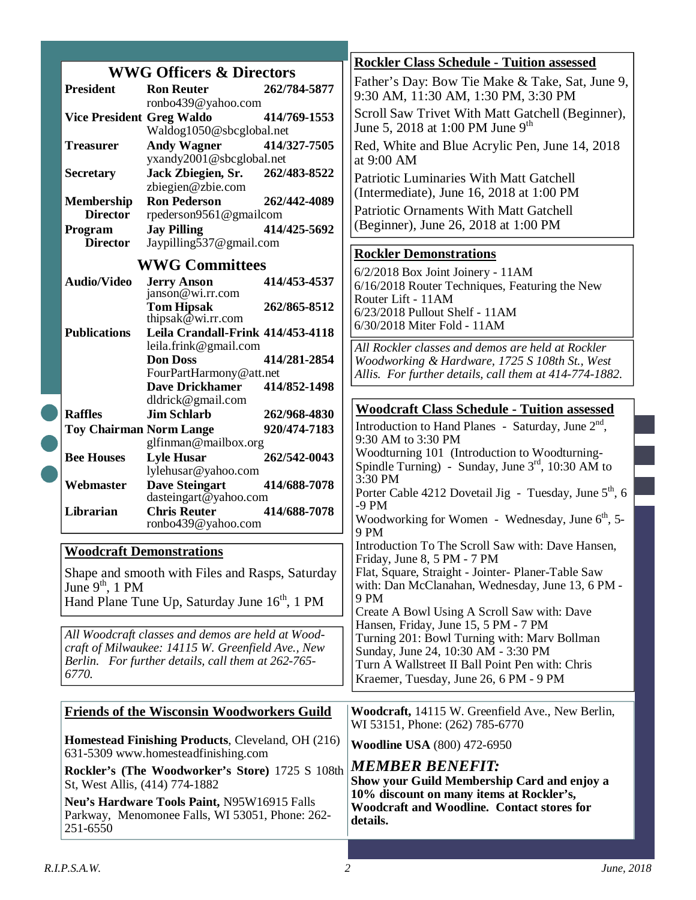|                                                                   |                                                             |                                                               | <b>Rockler Class Schedule - Tuition assessed</b>                                              |
|-------------------------------------------------------------------|-------------------------------------------------------------|---------------------------------------------------------------|-----------------------------------------------------------------------------------------------|
|                                                                   |                                                             | <b>WWG Officers &amp; Directors</b>                           | Father's Day: Bow Tie Make & Take, Sat, June 9,                                               |
|                                                                   | <b>President</b>                                            | 262/784-5877<br><b>Ron Reuter</b><br>ronbo439@yahoo.com       | 9:30 AM, 11:30 AM, 1:30 PM, 3:30 PM                                                           |
|                                                                   | <b>Vice President Greg Waldo</b>                            | 414/769-1553                                                  | Scroll Saw Trivet With Matt Gatchell (Beginner),                                              |
|                                                                   |                                                             | Waldog1050@sbcglobal.net                                      | June 5, 2018 at 1:00 PM June $9^{th}$                                                         |
|                                                                   | <b>Treasurer</b>                                            | <b>Andy Wagner</b><br>414/327-7505                            | Red, White and Blue Acrylic Pen, June 14, 2018                                                |
|                                                                   |                                                             | yxandy2001@sbcglobal.net                                      | at 9:00 AM                                                                                    |
|                                                                   | <b>Secretary</b>                                            | Jack Zbiegien, Sr.<br>262/483-8522                            | <b>Patriotic Luminaries With Matt Gatchell</b>                                                |
|                                                                   |                                                             | zbiegien@zbie.com                                             | (Intermediate), June 16, 2018 at 1:00 PM                                                      |
|                                                                   | <b>Membership</b>                                           | <b>Ron Pederson</b><br>262/442-4089                           | <b>Patriotic Ornaments With Matt Gatchell</b>                                                 |
|                                                                   | <b>Director</b>                                             | rpederson9561@gmailcom                                        | (Beginner), June 26, 2018 at 1:00 PM                                                          |
|                                                                   | Program<br><b>Director</b>                                  | <b>Jay Pilling</b><br>414/425-5692<br>Jaypilling537@gmail.com |                                                                                               |
|                                                                   |                                                             |                                                               | <b>Rockler Demonstrations</b>                                                                 |
|                                                                   |                                                             | <b>WWG Committees</b>                                         | 6/2/2018 Box Joint Joinery - 11AM                                                             |
|                                                                   | <b>Audio/Video</b>                                          | <b>Jerry Anson</b><br>414/453-4537                            | 6/16/2018 Router Techniques, Featuring the New                                                |
|                                                                   |                                                             | janson@wi.rr.com                                              | Router Lift - 11AM                                                                            |
|                                                                   |                                                             | <b>Tom Hipsak</b><br>262/865-8512<br>thipsak@wi.rr.com        | 6/23/2018 Pullout Shelf - 11AM                                                                |
|                                                                   | <b>Publications</b>                                         | Leila Crandall-Frink 414/453-4118                             | 6/30/2018 Miter Fold - 11AM                                                                   |
|                                                                   |                                                             | leila.frink@gmail.com                                         | All Rockler classes and demos are held at Rockler                                             |
|                                                                   |                                                             | <b>Don Doss</b><br>414/281-2854                               | Woodworking & Hardware, 1725 S 108th St., West                                                |
|                                                                   |                                                             | FourPartHarmony@att.net                                       | Allis. For further details, call them at 414-774-1882.                                        |
|                                                                   |                                                             | <b>Dave Drickhamer</b><br>414/852-1498                        |                                                                                               |
|                                                                   | <b>Raffles</b>                                              | dldrick@gmail.com<br><b>Jim Schlarb</b><br>262/968-4830       | <b>Woodcraft Class Schedule - Tuition assessed</b>                                            |
|                                                                   | <b>Toy Chairman Norm Lange</b>                              | 920/474-7183                                                  | Introduction to Hand Planes - Saturday, June $2nd$ ,                                          |
|                                                                   |                                                             | glfinman@mailbox.org                                          | 9:30 AM to 3:30 PM                                                                            |
|                                                                   | <b>Bee Houses</b>                                           | <b>Lyle Husar</b><br>262/542-0043                             | Woodturning 101 (Introduction to Woodturning-                                                 |
|                                                                   |                                                             | lylehusar@yahoo.com                                           | Spindle Turning) - Sunday, June $3rd$ , 10:30 AM to                                           |
|                                                                   | Webmaster                                                   | <b>Dave Steingart</b><br>414/688-7078                         | $3:30$ PM<br>Porter Cable 4212 Dovetail Jig - Tuesday, June $5th$ , 6                         |
|                                                                   |                                                             | dasteingart@yahoo.com                                         | $-9$ PM                                                                                       |
|                                                                   | Librarian                                                   | <b>Chris Reuter</b><br>414/688-7078<br>ronbo439@yahoo.com     | Woodworking for Women - Wednesday, June 6 <sup>th</sup> , 5-                                  |
|                                                                   |                                                             |                                                               | 9 PM                                                                                          |
| <b>Woodcraft Demonstrations</b>                                   |                                                             |                                                               | Introduction To The Scroll Saw with: Dave Hansen,                                             |
|                                                                   |                                                             |                                                               | Friday, June 8, 5 PM - 7 PM<br>Flat, Square, Straight - Jointer- Planer-Table Saw             |
|                                                                   | June $9th$ , 1 PM                                           | Shape and smooth with Files and Rasps, Saturday               | with: Dan McClanahan, Wednesday, June 13, 6 PM -                                              |
| 9 PM<br>Hand Plane Tune Up, Saturday June 16 <sup>th</sup> , 1 PM |                                                             |                                                               |                                                                                               |
|                                                                   |                                                             | Create A Bowl Using A Scroll Saw with: Dave                   |                                                                                               |
| All Woodcraft classes and demos are held at Wood-                 |                                                             |                                                               | Hansen, Friday, June 15, 5 PM - 7 PM                                                          |
| craft of Milwaukee: 14115 W. Greenfield Ave., New                 |                                                             |                                                               | Turning 201: Bowl Turning with: Marv Bollman                                                  |
| Berlin. For further details, call them at 262-765-                |                                                             |                                                               | Sunday, June 24, 10:30 AM - 3:30 PM<br>Turn A Wallstreet II Ball Point Pen with: Chris        |
|                                                                   | 6770.                                                       |                                                               | Kraemer, Tuesday, June 26, 6 PM - 9 PM                                                        |
|                                                                   |                                                             |                                                               |                                                                                               |
| <b>Friends of the Wisconsin Woodworkers Guild</b>                 |                                                             |                                                               | Woodcraft, 14115 W. Greenfield Ave., New Berlin,                                              |
|                                                                   |                                                             |                                                               | WI 53151, Phone: (262) 785-6770                                                               |
| <b>Homestead Finishing Products, Cleveland, OH (216)</b>          |                                                             |                                                               | <b>Woodline USA</b> (800) 472-6950                                                            |
| 631-5309 www.homesteadfinishing.com                               |                                                             |                                                               |                                                                                               |
| Rockler's (The Woodworker's Store) 1725 S 108th                   |                                                             |                                                               | <b>MEMBER BENEFIT:</b>                                                                        |
| St, West Allis, (414) 774-1882                                    |                                                             |                                                               | Show your Guild Membership Card and enjoy a                                                   |
| Neu's Hardware Tools Paint, N95W16915 Falls                       |                                                             |                                                               | 10% discount on many items at Rockler's,<br><b>Woodcraft and Woodline. Contact stores for</b> |
|                                                                   | Parkway, Menomonee Falls, WI 53051, Phone: 262-<br>details. |                                                               |                                                                                               |
|                                                                   | 251-6550                                                    |                                                               |                                                                                               |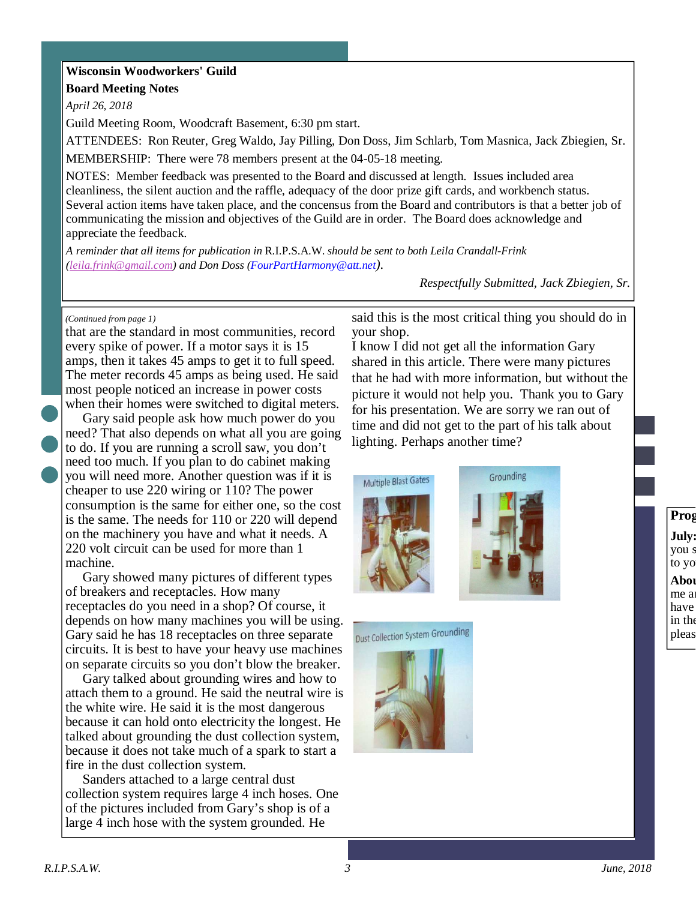### **Wisconsin Woodworkers' Guild**

**Board Meeting Notes** 

*April 26, 2018* 

Guild Meeting Room, Woodcraft Basement, 6:30 pm start.

ATTENDEES: Ron Reuter, Greg Waldo, Jay Pilling, Don Doss, Jim Schlarb, Tom Masnica, Jack Zbiegien, Sr.

MEMBERSHIP: There were 78 members present at the 04-05-18 meeting.

NOTES: Member feedback was presented to the Board and discussed at length. Issues included area cleanliness, the silent auction and the raffle, adequacy of the door prize gift cards, and workbench status. Several action items have taken place, and the concensus from the Board and contributors is that a better job of communicating the mission and objectives of the Guild are in order. The Board does acknowledge and appreciate the feedback.

*A reminder that all items for publication in* R.I.P.S.A.W. *should be sent to both Leila Crandall-Frink (leila.frink@gmail.com) and Don Doss (FourPartHarmony@att.net).* 

*Respectfully Submitted, Jack Zbiegien, Sr.*

#### *(Continued from page 1)*

that are the standard in most communities, record every spike of power. If a motor says it is 15 amps, then it takes 45 amps to get it to full speed. The meter records 45 amps as being used. He said most people noticed an increase in power costs when their homes were switched to digital meters.

 Gary said people ask how much power do you need? That also depends on what all you are going to do. If you are running a scroll saw, you don't need too much. If you plan to do cabinet making you will need more. Another question was if it is cheaper to use 220 wiring or 110? The power consumption is the same for either one, so the cost is the same. The needs for 110 or 220 will depend on the machinery you have and what it needs. A 220 volt circuit can be used for more than 1 machine.

 Gary showed many pictures of different types of breakers and receptacles. How many receptacles do you need in a shop? Of course, it depends on how many machines you will be using. Gary said he has 18 receptacles on three separate circuits. It is best to have your heavy use machines on separate circuits so you don't blow the breaker.

 Gary talked about grounding wires and how to attach them to a ground. He said the neutral wire is the white wire. He said it is the most dangerous because it can hold onto electricity the longest. He talked about grounding the dust collection system, because it does not take much of a spark to start a fire in the dust collection system.

 Sanders attached to a large central dust collection system requires large 4 inch hoses. One of the pictures included from Gary's shop is of a large 4 inch hose with the system grounded. He

said this is the most critical thing you should do in your shop.

I know I did not get all the information Gary shared in this article. There were many pictures that he had with more information, but without the picture it would not help you. Thank you to Gary for his presentation. We are sorry we ran out of time and did not get to the part of his talk about lighting. Perhaps another time?







### **Program Director Notes from Jay Pilling July:** you s to yo Abou me a have  $\sin \th$ pleas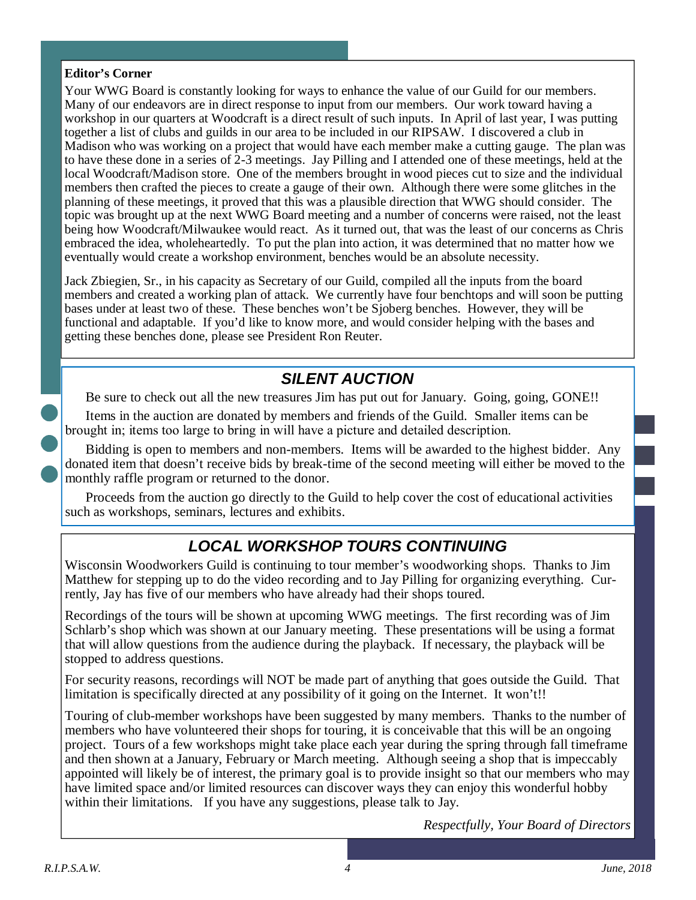### **Editor's Corner**

Your WWG Board is constantly looking for ways to enhance the value of our Guild for our members. Many of our endeavors are in direct response to input from our members. Our work toward having a workshop in our quarters at Woodcraft is a direct result of such inputs. In April of last year, I was putting together a list of clubs and guilds in our area to be included in our RIPSAW. I discovered a club in Madison who was working on a project that would have each member make a cutting gauge. The plan was to have these done in a series of 2-3 meetings. Jay Pilling and I attended one of these meetings, held at the local Woodcraft/Madison store. One of the members brought in wood pieces cut to size and the individual members then crafted the pieces to create a gauge of their own. Although there were some glitches in the planning of these meetings, it proved that this was a plausible direction that WWG should consider. The topic was brought up at the next WWG Board meeting and a number of concerns were raised, not the least being how Woodcraft/Milwaukee would react. As it turned out, that was the least of our concerns as Chris embraced the idea, wholeheartedly. To put the plan into action, it was determined that no matter how we eventually would create a workshop environment, benches would be an absolute necessity.

Jack Zbiegien, Sr., in his capacity as Secretary of our Guild, compiled all the inputs from the board members and created a working plan of attack. We currently have four benchtops and will soon be putting bases under at least two of these. These benches won't be Sjoberg benches. However, they will be functional and adaptable. If you'd like to know more, and would consider helping with the bases and getting these benches done, please see President Ron Reuter.

## **SILENT AUCTION**

Be sure to check out all the new treasures Jim has put out for January. Going, going, GONE!!

Items in the auction are donated by members and friends of the Guild. Smaller items can be brought in; items too large to bring in will have a picture and detailed description.

Bidding is open to members and non-members. Items will be awarded to the highest bidder. Any donated item that doesn't receive bids by break-time of the second meeting will either be moved to the monthly raffle program or returned to the donor.

Proceeds from the auction go directly to the Guild to help cover the cost of educational activities such as workshops, seminars, lectures and exhibits.

# **LOCAL WORKSHOP TOURS CONTINUING**

Wisconsin Woodworkers Guild is continuing to tour member's woodworking shops. Thanks to Jim Matthew for stepping up to do the video recording and to Jay Pilling for organizing everything. Currently, Jay has five of our members who have already had their shops toured.

Recordings of the tours will be shown at upcoming WWG meetings. The first recording was of Jim Schlarb's shop which was shown at our January meeting. These presentations will be using a format that will allow questions from the audience during the playback. If necessary, the playback will be stopped to address questions.

For security reasons, recordings will NOT be made part of anything that goes outside the Guild. That limitation is specifically directed at any possibility of it going on the Internet. It won't!!

Touring of club-member workshops have been suggested by many members. Thanks to the number of members who have volunteered their shops for touring, it is conceivable that this will be an ongoing project. Tours of a few workshops might take place each year during the spring through fall timeframe and then shown at a January, February or March meeting. Although seeing a shop that is impeccably appointed will likely be of interest, the primary goal is to provide insight so that our members who may have limited space and/or limited resources can discover ways they can enjoy this wonderful hobby within their limitations. If you have any suggestions, please talk to Jay.

*Respectfully, Your Board of Directors*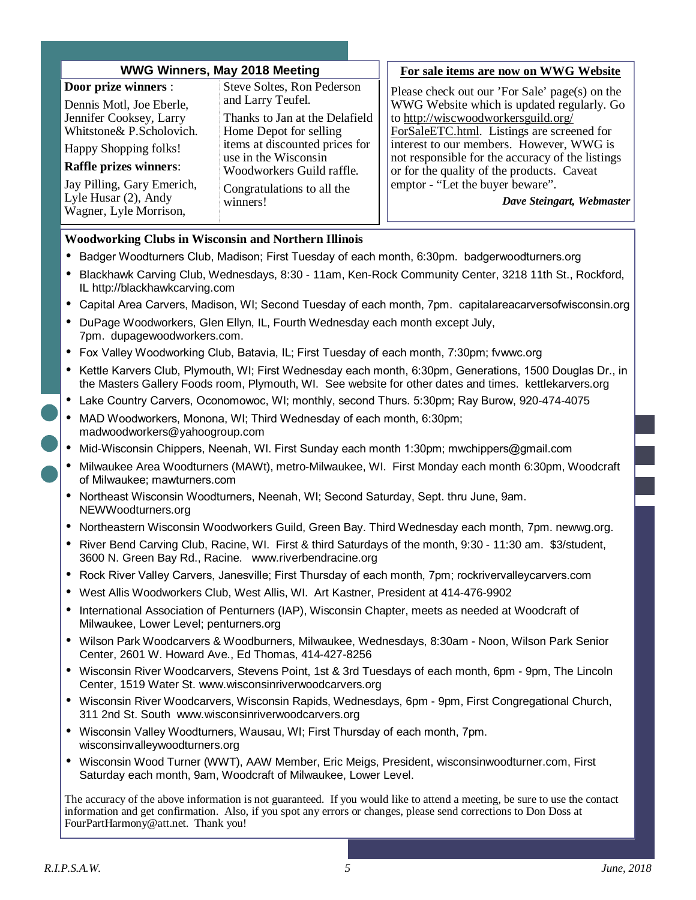| <b>WWG Winners, May 2018 Meeting</b>                                                                                                                                                                                                                    |                                                                                                                                                                                                                                              | For sale items are now on WWG Website                                                                                                                                                                                                                                                                                                                                                            |  |  |
|---------------------------------------------------------------------------------------------------------------------------------------------------------------------------------------------------------------------------------------------------------|----------------------------------------------------------------------------------------------------------------------------------------------------------------------------------------------------------------------------------------------|--------------------------------------------------------------------------------------------------------------------------------------------------------------------------------------------------------------------------------------------------------------------------------------------------------------------------------------------------------------------------------------------------|--|--|
| <b>Door prize winners:</b><br>Dennis Motl, Joe Eberle,<br>Jennifer Cooksey, Larry<br>Whitstone& P.Scholovich.<br>Happy Shopping folks!<br><b>Raffle prizes winners:</b><br>Jay Pilling, Gary Emerich,<br>Lyle Husar (2), Andy<br>Wagner, Lyle Morrison, | Steve Soltes, Ron Pederson<br>and Larry Teufel.<br>Thanks to Jan at the Delafield<br>Home Depot for selling<br>items at discounted prices for<br>use in the Wisconsin<br>Woodworkers Guild raffle.<br>Congratulations to all the<br>winners! | Please check out our 'For Sale' page(s) on the<br>WWG Website which is updated regularly. Go<br>to http://wiscwoodworkersguild.org/<br>ForSaleETC.html. Listings are screened for<br>interest to our members. However, WWG is<br>not responsible for the accuracy of the listings<br>or for the quality of the products. Caveat<br>emptor - "Let the buyer beware".<br>Dave Steingart, Webmaster |  |  |
| <b>Woodworking Clubs in Wisconsin and Northern Illinois</b>                                                                                                                                                                                             |                                                                                                                                                                                                                                              |                                                                                                                                                                                                                                                                                                                                                                                                  |  |  |

- Badger Woodturners Club, Madison; First Tuesday of each month, 6:30pm. badgerwoodturners.org
- Blackhawk Carving Club, Wednesdays, 8:30 11am, Ken-Rock Community Center, 3218 11th St., Rockford, IL http://blackhawkcarving.com
- Capital Area Carvers, Madison, WI; Second Tuesday of each month, 7pm. capitalareacarversofwisconsin.org
- DuPage Woodworkers, Glen Ellyn, IL, Fourth Wednesday each month except July, 7pm. dupagewoodworkers.com.
- Fox Valley Woodworking Club, Batavia, IL; First Tuesday of each month, 7:30pm; fvwwc.org
- Kettle Karvers Club, Plymouth, WI; First Wednesday each month, 6:30pm, Generations, 1500 Douglas Dr., in the Masters Gallery Foods room, Plymouth, WI. See website for other dates and times. kettlekarvers.org
- Lake Country Carvers, Oconomowoc, WI; monthly, second Thurs. 5:30pm; Ray Burow, 920-474-4075
- MAD Woodworkers, Monona, WI; Third Wednesday of each month, 6:30pm; madwoodworkers@yahoogroup.com
- Mid-Wisconsin Chippers, Neenah, WI. First Sunday each month 1:30pm; mwchippers@gmail.com
- Milwaukee Area Woodturners (MAWt), metro-Milwaukee, WI. First Monday each month 6:30pm, Woodcraft of Milwaukee; mawturners.com
- Northeast Wisconsin Woodturners, Neenah, WI; Second Saturday, Sept. thru June, 9am. NEWWoodturners.org
- Northeastern Wisconsin Woodworkers Guild, Green Bay. Third Wednesday each month, 7pm. newwg.org.
- River Bend Carving Club, Racine, WI. First & third Saturdays of the month, 9:30 11:30 am. \$3/student, 3600 N. Green Bay Rd., Racine. www.riverbendracine.org
- Rock River Valley Carvers, Janesville; First Thursday of each month, 7pm; rockrivervalleycarvers.com
- West Allis Woodworkers Club, West Allis, WI. Art Kastner, President at 414-476-9902
- International Association of Penturners (IAP), Wisconsin Chapter, meets as needed at Woodcraft of Milwaukee, Lower Level; penturners.org
- Wilson Park Woodcarvers & Woodburners, Milwaukee, Wednesdays, 8:30am Noon, Wilson Park Senior Center, 2601 W. Howard Ave., Ed Thomas, 414-427-8256
- Wisconsin River Woodcarvers, Stevens Point, 1st & 3rd Tuesdays of each month, 6pm 9pm, The Lincoln Center, 1519 Water St. www.wisconsinriverwoodcarvers.org
- Wisconsin River Woodcarvers, Wisconsin Rapids, Wednesdays, 6pm 9pm, First Congregational Church, 311 2nd St. South www.wisconsinriverwoodcarvers.org
- Wisconsin Valley Woodturners, Wausau, WI; First Thursday of each month, 7pm. wisconsinvalleywoodturners.org
- Wisconsin Wood Turner (WWT), AAW Member, Eric Meigs, President, wisconsinwoodturner.com, First Saturday each month, 9am, Woodcraft of Milwaukee, Lower Level.

The accuracy of the above information is not guaranteed. If you would like to attend a meeting, be sure to use the contact information and get confirmation. Also, if you spot any errors or changes, please send corrections to Don Doss at FourPartHarmony@att.net. Thank you!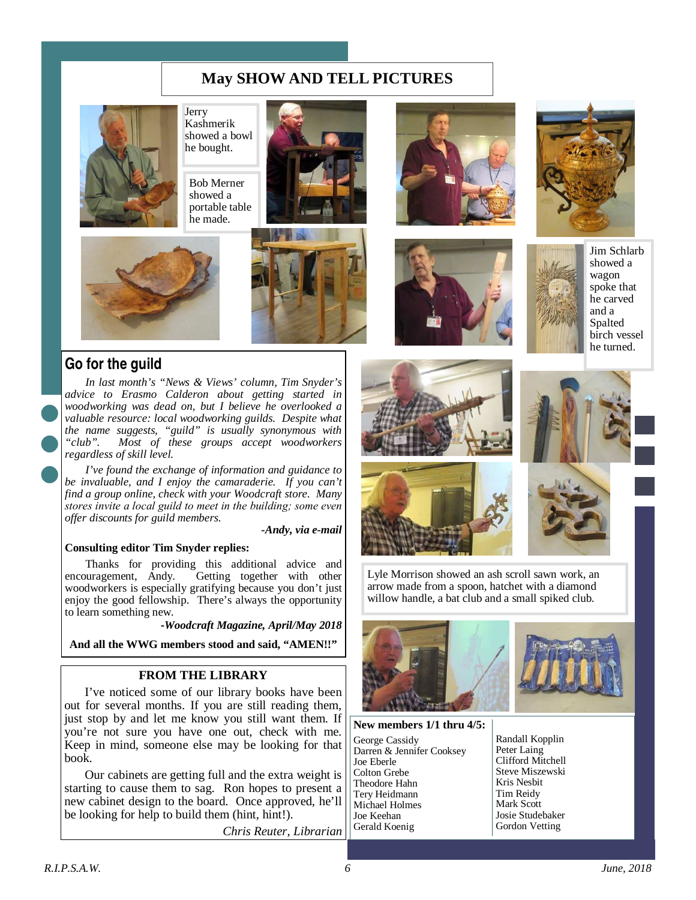### **May SHOW AND TELL PICTURES**



Jerry Kashmerik showed a bowl he bought.

Bob Merner showed a portable table he made.









Jim Schlarb showed a wagon spoke that he carved and a Spalted birch vessel he turned.



### **Go for the guild**

*In last month's "News & Views' column, Tim Snyder's advice to Erasmo Calderon about getting started in woodworking was dead on, but I believe he overlooked a valuable resource: local woodworking guilds. Despite what the name suggests, "guild" is usually synonymous with "club". Most of these groups accept woodworkers regardless of skill level.* 

*I've found the exchange of information and guidance to be invaluable, and I enjoy the camaraderie. If you can't find a group online, check with your Woodcraft store. Many*  stores invite a local guild to meet in the building; some even *offer discounts for guild members.* 

*-Andy, via e-mail* 

#### **Consulting editor Tim Snyder replies:**

Thanks for providing this additional advice and encouragement, Andy. Getting together with other Getting together with other woodworkers is especially gratifying because you don't just enjoy the good fellowship. There's always the opportunity to learn something new.

-*Woodcraft Magazine, April/May 2018* 

**And all the WWG members stood and said, "AMEN!!"** 

### **FROM THE LIBRARY**

I've noticed some of our library books have been out for several months. If you are still reading them, just stop by and let me know you still want them. If you're not sure you have one out, check with me. Keep in mind, someone else may be looking for that book.

Our cabinets are getting full and the extra weight is starting to cause them to sag. Ron hopes to present a new cabinet design to the board. Once approved, he'll be looking for help to build them (hint, hint!).

*Chris Reuter, Librarian* 









Lyle Morrison showed an ash scroll sawn work, an arrow made from a spoon, hatchet with a diamond willow handle, a bat club and a small spiked club.



**New members 1/1 thru 4/5:** 

George Cassidy Darren & Jennifer Cooksey Joe Eberle Colton Grebe Theodore Hahn Tery Heidmann Michael Holmes Joe Keehan Gerald Koenig

Randall Kopplin Peter Laing Clifford Mitchell Steve Miszewski Kris Nesbit Tim Reidy Mark Scott Josie Studebaker Gordon Vetting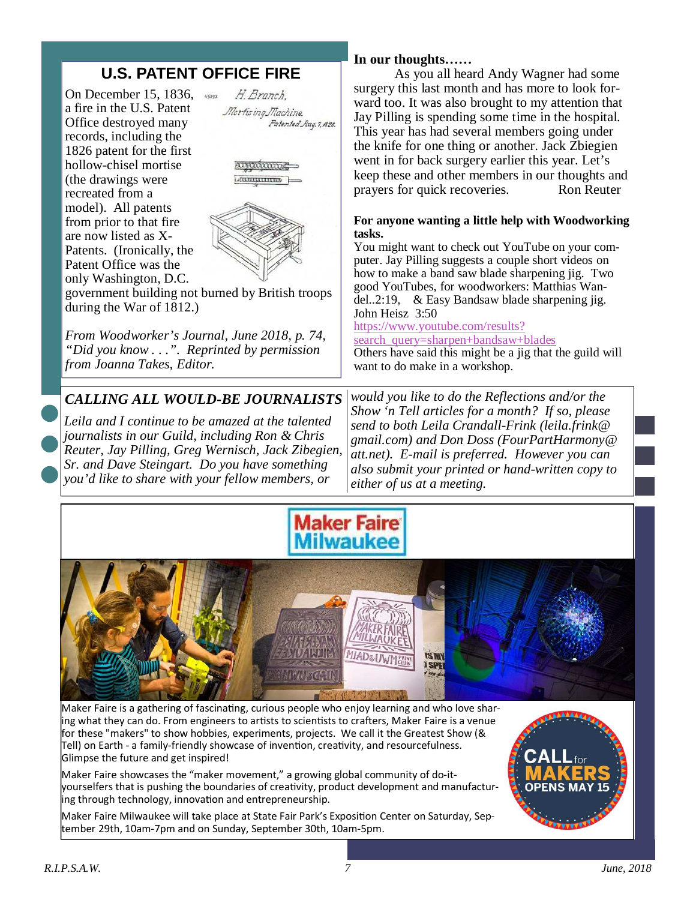# **U.S. PATENT OFFICE FIRE**

On December 15, 1836, a fire in the U.S. Patent Office destroyed many records, including the 1826 patent for the first hollow-chisel mortise (the drawings were recreated from a model). All patents from prior to that fire are now listed as X-Patents. (Ironically, the Patent Office was the only Washington, D.C.



amman *<u>FILLMENTITION</u>* 



government building not burned by British troops during the War of 1812.)

*From Woodworker's Journal, June 2018, p. 74, "Did you know . . .". Reprinted by permission from Joanna Takes, Editor.* 

### *CALLING ALL WOULD-BE JOURNALISTS*

*Leila and I continue to be amazed at the talented journalists in our Guild, including Ron & Chris Reuter, Jay Pilling, Greg Wernisch, Jack Zibegien, Sr. and Dave Steingart. Do you have something you'd like to share with your fellow members, or* 

### **In our thoughts……**

 As you all heard Andy Wagner had some surgery this last month and has more to look forward too. It was also brought to my attention that Jay Pilling is spending some time in the hospital. This year has had several members going under the knife for one thing or another. Jack Zbiegien went in for back surgery earlier this year. Let's keep these and other members in our thoughts and prayers for quick recoveries. Ron Reuter

### **For anyone wanting a little help with Woodworking tasks.**

You might want to check out YouTube on your computer. Jay Pilling suggests a couple short videos on how to make a band saw blade sharpening jig. Two good YouTubes, for woodworkers: Matthias Wandel..2:19, & Easy Bandsaw blade sharpening jig. John Heisz 3:50

### https://www.youtube.com/results?

search\_query=sharpen+bandsaw+blades

Others have said this might be a jig that the guild will want to do make in a workshop.

*would you like to do the Reflections and/or the Show 'n Tell articles for a month? If so, please send to both Leila Crandall-Frink (leila.frink@ gmail.com) and Don Doss (FourPartHarmony@ att.net). E-mail is preferred. However you can also submit your printed or hand-written copy to either of us at a meeting.* 





Maker Faire is a gathering of fascinating, curious people who enjoy learning and who love sharing what they can do. From engineers to artists to scientists to crafters, Maker Faire is a venue for these "makers" to show hobbies, experiments, projects. We call it the Greatest Show (& Tell) on Earth - a family-friendly showcase of invention, creativity, and resourcefulness. Glimpse the future and get inspired!

Maker Faire showcases the "maker movement," a growing global community of do-ityourselfers that is pushing the boundaries of creativity, product development and manufactur- $\frac{1}{2}$ ing through technology, innovation and entrepreneurship.

Maker Faire Milwaukee will take place at State Fair Park's Exposition Center on Saturday, September 29th, 10am-7pm and on Sunday, September 30th, 10am-5pm.

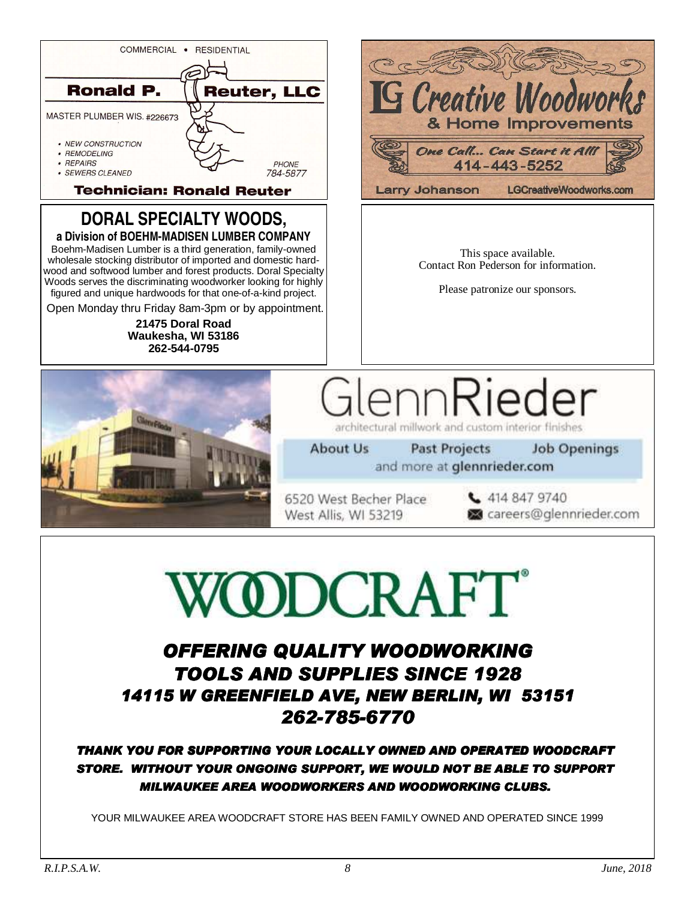